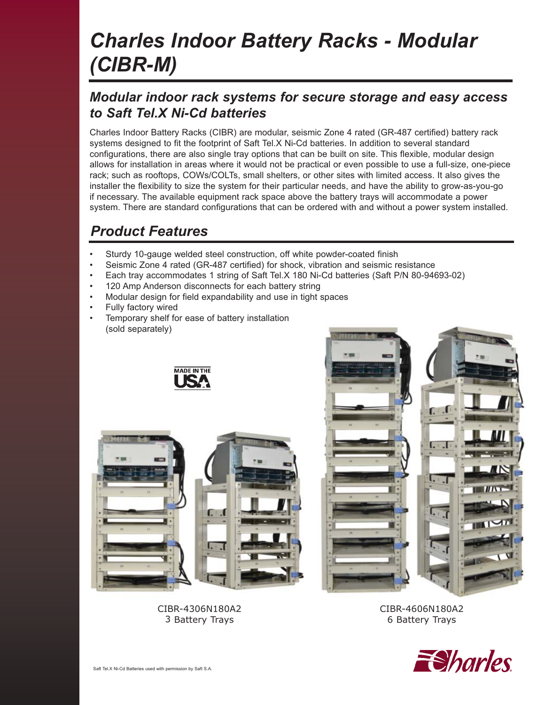# *Charles Indoor Battery Racks - Modular (CIBR-M)*

### *Modular indoor rack systems for secure storage and easy access to Saft Tel.X Ni-Cd batteries*

Charles Indoor Battery Racks (CIBR) are modular, seismic Zone 4 rated (GR-487 certified) battery rack systems designed to fit the footprint of Saft Tel.X Ni-Cd batteries. In addition to several standard configurations, there are also single tray options that can be built on site. This flexible, modular design allows for installation in areas where it would not be practical or even possible to use a full-size, one-piece rack; such as rooftops, COWs/COLTs, small shelters, or other sites with limited access. It also gives the installer the flexibility to size the system for their particular needs, and have the ability to grow-as-you-go if necessary. The available equipment rack space above the battery trays will accommodate a power system. There are standard configurations that can be ordered with and without a power system installed.

# *Product Features*

- Sturdy 10-gauge welded steel construction, off white powder-coated finish
- Seismic Zone 4 rated (GR-487 certified) for shock, vibration and seismic resistance
- Each tray accommodates 1 string of Saft Tel.X 180 Ni-Cd batteries (Saft P/N 80-94693-02)
- 120 Amp Anderson disconnects for each battery string
- Modular design for field expandability and use in tight spaces
- Fully factory wired
- Temporary shelf for ease of battery installation (sold separately)









CIBR-4606N180A2 6 Battery Trays